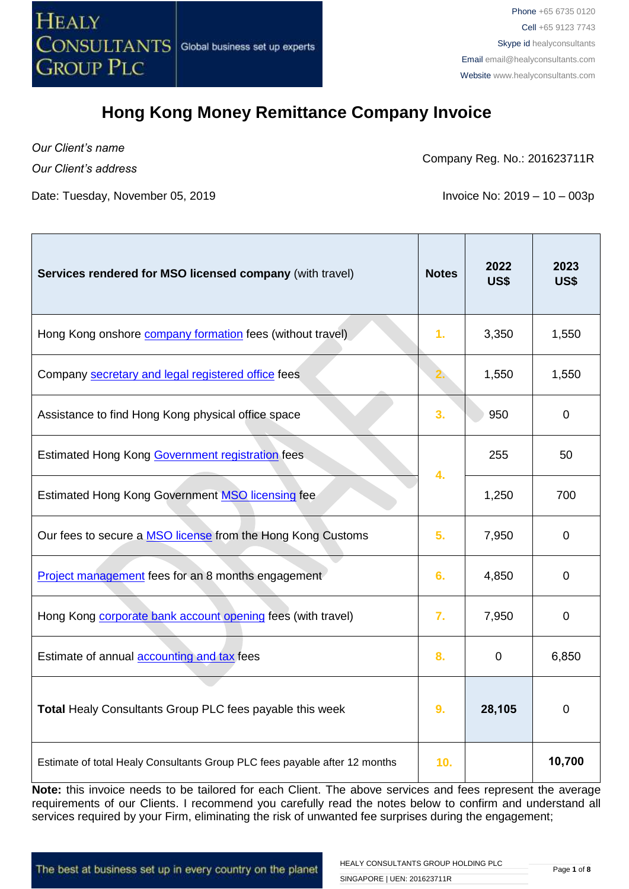

*Our Client's name Our Client's address*

Company Reg. No.: 201623711R

Date: Tuesday, November 05, 2019 **Invoice No: 2019 - 10 – 003p** 

| Services rendered for MSO licensed company (with travel)                   | <b>Notes</b> | 2022<br>US\$   | 2023<br><b>US\$</b> |
|----------------------------------------------------------------------------|--------------|----------------|---------------------|
| Hong Kong onshore <b>company formation</b> fees (without travel)           | 1.           | 3,350          | 1,550               |
| Company secretary and legal registered office fees                         |              | 1,550          | 1,550               |
| Assistance to find Hong Kong physical office space                         | 3.           | 950            | 0                   |
| Estimated Hong Kong Government registration fees                           | 4.           | 255            | 50                  |
| Estimated Hong Kong Government MSO licensing fee                           |              | 1,250          | 700                 |
| Our fees to secure a <b>MSO license</b> from the Hong Kong Customs         | 5.           | 7,950          | $\overline{0}$      |
| Project management fees for an 8 months engagement                         | 6.           | 4,850          | 0                   |
| Hong Kong corporate bank account opening fees (with travel)                | 7.           | 7,950          | 0                   |
| Estimate of annual <b>accounting and tax</b> fees                          | 8.           | $\overline{0}$ | 6,850               |
| Total Healy Consultants Group PLC fees payable this week                   | 9.           | 28,105         | 0                   |
| Estimate of total Healy Consultants Group PLC fees payable after 12 months | 10.          |                | 10,700              |

**Note:** this invoice needs to be tailored for each Client. The above services and fees represent the average requirements of our Clients. I recommend you carefully read the notes below to confirm and understand all services required by your Firm, eliminating the risk of unwanted fee surprises during the engagement;

The best at business set up in every country on the planet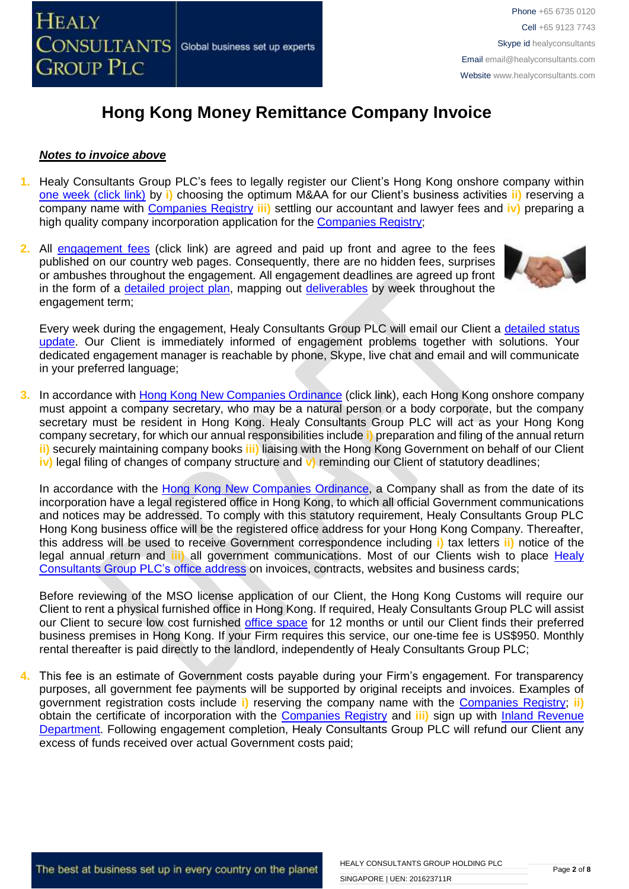

#### *Notes to invoice above*

- **1.** Healy Consultants Group PLC's fees to legally register our Client's Hong Kong onshore company within [one week \(click link\)](http://www.healyconsultants.com/hong-kong-company-registration/incorporation-steps/) by **i)** choosing the optimum M&AA for our Client's business activities **ii)** reserving a company name with [Companies Registry](http://www.cr.gov.hk/en/public/services.htm) **iii)** settling our accountant and lawyer fees and **iv)** preparing a high quality company incorporation application for the [Companies Registry;](http://www.cr.gov.hk/en/public/services.htm)
- **2.** All [engagement fees](http://www.healyconsultants.com/company-registration-fees/) (click link) are agreed and paid up front and agree to the fees published on our country web pages. Consequently, there are no hidden fees, surprises or ambushes throughout the engagement. All engagement deadlines are agreed up front in the form of a [detailed project plan,](http://www.healyconsultants.com/index-important-links/example-project-plan/) mapping out [deliverables](http://www.healyconsultants.com/deliverables-to-our-clients/) by week throughout the engagement term;



Every week during the engagement, Healy Consultants Group PLC will email our Client a detailed status [update.](http://www.healyconsultants.com/index-important-links/weekly-engagement-status-email/) Our Client is immediately informed of engagement problems together with solutions. Your dedicated engagement manager is reachable by phone, Skype, live chat and email and will communicate in your preferred language;

**3.** In accordance with **Hong Kong New Companies Ordinance** (click link), each Hong Kong onshore company must appoint a company secretary, who may be a natural person or a body corporate, but the company secretary must be resident in Hong Kong. Healy Consultants Group PLC will act as your Hong Kong company secretary, for which our annual responsibilities include **i)** preparation and filing of the annual return **ii)** securely maintaining company books **iii)** liaising with the Hong Kong Government on behalf of our Client **iv)** legal filing of changes of company structure and **v)** reminding our Client of statutory deadlines;

In accordance with the [Hong Kong New Companies Ordinance,](http://www.cr.gov.hk/en/companies_ordinance/docs/NewCO_C622_HL_FullVersion-e.pdf) a Company shall as from the date of its incorporation have a legal registered office in Hong Kong, to which all official Government communications and notices may be addressed. To comply with this statutory requirement, Healy Consultants Group PLC Hong Kong business office will be the registered office address for your Hong Kong Company. Thereafter, this address will be used to receive Government correspondence including **i)** tax letters **ii)** notice of the legal annual return and **iii)** all government communications. Most of our Clients wish to place [Healy](http://www.healyconsultants.com/corporate-outsourcing-services/company-secretary-and-legal-registered-office/)  [Consultants Group PLC's](http://www.healyconsultants.com/corporate-outsourcing-services/company-secretary-and-legal-registered-office/) office address on invoices, contracts, websites and business cards;

Before reviewing of the MSO license application of our Client, the Hong Kong Customs will require our Client to rent a physical furnished office in Hong Kong. If required, Healy Consultants Group PLC will assist our Client to secure low cost furnished [office space](http://www.healyconsultants.com/virtual-office/) for 12 months or until our Client finds their preferred business premises in Hong Kong. If your Firm requires this service, our one-time fee is US\$950. Monthly rental thereafter is paid directly to the landlord, independently of Healy Consultants Group PLC;

**4.** This fee is an estimate of Government costs payable during your Firm's engagement. For transparency purposes, all government fee payments will be supported by original receipts and invoices. Examples of government registration costs include **i)** reserving the company name with the [Companies Registry;](http://www.cr.gov.hk/en/public/services.htm) **ii)** obtain the certificate of incorporation with the [Companies Registry](http://www.cr.gov.hk/en/public/services.htm) and **iii)** sign up with [Inland Revenue](http://www.ird.gov.hk/eng/welcome.htm) [Department.](http://www.ird.gov.hk/eng/welcome.htm) Following engagement completion, Healy Consultants Group PLC will refund our Client any excess of funds received over actual Government costs paid;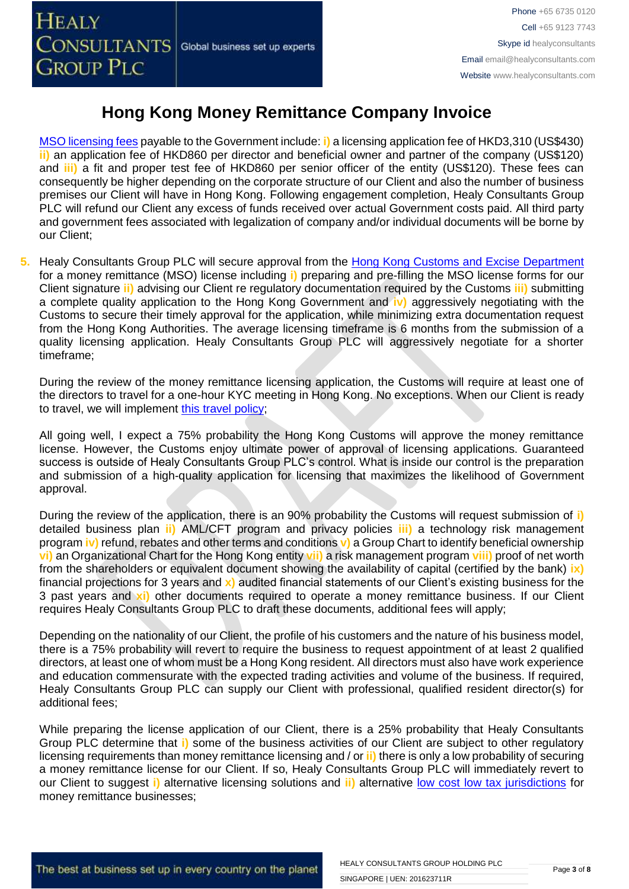[MSO licensing fees](https://eservices.customs.gov.hk/MSOS/download/guideline/Licensing_Guide_en.pdf) payable to the Government include: **i)** a licensing application fee of HKD3,310 (US\$430) **ii)** an application fee of HKD860 per director and beneficial owner and partner of the company (US\$120) and **iii)** a fit and proper test fee of HKD860 per senior officer of the entity (US\$120). These fees can consequently be higher depending on the corporate structure of our Client and also the number of business premises our Client will have in Hong Kong. Following engagement completion, Healy Consultants Group PLC will refund our Client any excess of funds received over actual Government costs paid. All third party and government fees associated with legalization of company and/or individual documents will be borne by our Client;

**5.** Healy Consultants Group PLC will secure approval from the [Hong Kong Customs and Excise Department](https://eservices.customs.gov.hk/MSOS/wsrh/001s0) for a money remittance (MSO) license including **i)** preparing and pre-filling the MSO license forms for our Client signature **ii)** advising our Client re regulatory documentation required by the Customs **iii)** submitting a complete quality application to the Hong Kong Government and **iv)** aggressively negotiating with the Customs to secure their timely approval for the application, while minimizing extra documentation request from the Hong Kong Authorities. The average licensing timeframe is 6 months from the submission of a quality licensing application. Healy Consultants Group PLC will aggressively negotiate for a shorter timeframe;

During the review of the money remittance licensing application, the Customs will require at least one of the directors to travel for a one-hour KYC meeting in Hong Kong. No exceptions. When our Client is ready to travel, we will implement [this travel policy;](http://www.healyconsultants.com/international-banking/corporate-accounts/meet-bank-officer/)

All going well, I expect a 75% probability the Hong Kong Customs will approve the money remittance license. However, the Customs enjoy ultimate power of approval of licensing applications. Guaranteed success is outside of Healy Consultants Group PLC's control. What is inside our control is the preparation and submission of a high-quality application for licensing that maximizes the likelihood of Government approval.

During the review of the application, there is an 90% probability the Customs will request submission of **i)** detailed business plan **ii)** AML/CFT program and privacy policies **iii)** a technology risk management program **iv)** refund, rebates and other terms and conditions **v)** a Group Chart to identify beneficial ownership **vi)** an Organizational Chart for the Hong Kong entity **vii)** a risk management program **viii)** proof of net worth from the shareholders or equivalent document showing the availability of capital (certified by the bank) **ix)** financial projections for 3 years and **x)** audited financial statements of our Client's existing business for the 3 past years and **xi)** other documents required to operate a money remittance business. If our Client requires Healy Consultants Group PLC to draft these documents, additional fees will apply;

Depending on the nationality of our Client, the profile of his customers and the nature of his business model, there is a 75% probability will revert to require the business to request appointment of at least 2 qualified directors, at least one of whom must be a Hong Kong resident. All directors must also have work experience and education commensurate with the expected trading activities and volume of the business. If required, Healy Consultants Group PLC can supply our Client with professional, qualified resident director(s) for additional fees;

While preparing the license application of our Client, there is a 25% probability that Healy Consultants Group PLC determine that **i)** some of the business activities of our Client are subject to other regulatory licensing requirements than money remittance licensing and / or **ii)** there is only a low probability of securing a money remittance license for our Client. If so, Healy Consultants Group PLC will immediately revert to our Client to suggest **i)** alternative licensing solutions and **ii)** alternative [low cost low tax jurisdictions](http://www.healyconsultants.com/country-comparisons/low-cost-fx-brokerage-companies/) for money remittance businesses;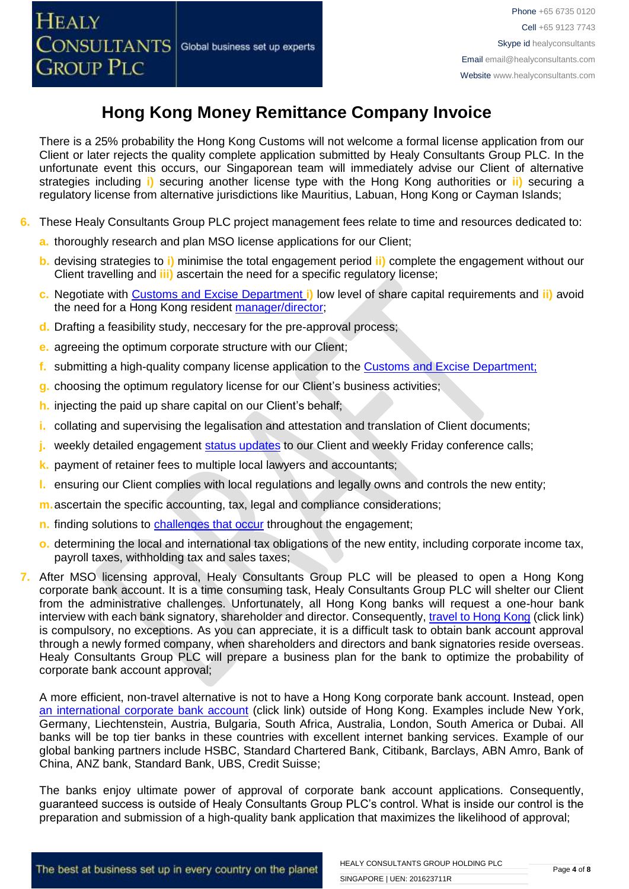There is a 25% probability the Hong Kong Customs will not welcome a formal license application from our Client or later rejects the quality complete application submitted by Healy Consultants Group PLC. In the unfortunate event this occurs, our Singaporean team will immediately advise our Client of alternative strategies including **i)** securing another license type with the Hong Kong authorities or **ii)** securing a regulatory license from alternative jurisdictions like Mauritius, Labuan, Hong Kong or Cayman Islands;

- **6.** These Healy Consultants Group PLC project management fees relate to time and resources dedicated to:
	- **a.** thoroughly research and plan MSO license applications for our Client;
	- **b.** devising strategies to **i)** minimise the total engagement period **ii)** complete the engagement without our Client travelling and **iii)** ascertain the need for a specific regulatory license;
	- **c.** Negotiate with [Customs and Excise Department](https://eservices.customs.gov.hk/MSOS/index) **i)** low level of share capital requirements and **ii)** avoid the need for a Hong Kong resident [manager/director;](http://www.healyconsultants.com/corporate-advisory-services/nominee-shareholders-directors/national-shareholder-services/)
	- **d.** Drafting a feasibility study, neccesary for the pre-approval process;
	- **e.** agreeing the optimum corporate structure with our Client:
	- **f.** submitting a high-quality company license application to the [Customs and Excise Department;](https://eservices.customs.gov.hk/MSOS/index)
	- **g.** choosing the optimum regulatory license for our Client's business activities;
	- **h.** injecting the paid up share capital on our Client's behalf;
	- **i.** collating and supervising the legalisation and attestation and translation of Client documents;
	- **j.** weekly detailed engagement [status updates](http://www.healyconsultants.com/index-important-links/weekly-engagement-status-email/) to our Client and weekly Friday conference calls;
	- **k.** payment of retainer fees to multiple local lawyers and accountants;
	- **l.** ensuring our Client complies with local regulations and legally owns and controls the new entity;
	- **m.**ascertain the specific accounting, tax, legal and compliance considerations;
	- **n.** finding solutions to [challenges that occur](http://www.healyconsultants.com/engagement-project-management/) throughout the engagement;
	- **o.** determining the local and international tax obligations of the new entity, including corporate income tax, payroll taxes, withholding tax and sales taxes;
- **7.** After MSO licensing approval, Healy Consultants Group PLC will be pleased to open a Hong Kong corporate bank account. It is a time consuming task, Healy Consultants Group PLC will shelter our Client from the administrative challenges. Unfortunately, all Hong Kong banks will request a one-hour bank interview with each bank signatory, shareholder and director. Consequently, [travel to Hong Kong](http://www.healyconsultants.com/hong-kong-company-registration/concierge-services/) (click link) is compulsory, no exceptions. As you can appreciate, it is a difficult task to obtain bank account approval through a newly formed company, when shareholders and directors and bank signatories reside overseas. Healy Consultants Group PLC will prepare a business plan for the bank to optimize the probability of corporate bank account approval;

A more efficient, non-travel alternative is not to have a Hong Kong corporate bank account. Instead, open [an international corporate bank account](http://www.healyconsultants.com/international-banking/) (click link) outside of Hong Kong. Examples include New York, Germany, Liechtenstein, Austria, Bulgaria, South Africa, Australia, London, South America or Dubai. All banks will be top tier banks in these countries with excellent internet banking services. Example of our global banking partners include HSBC, Standard Chartered Bank, Citibank, Barclays, ABN Amro, Bank of China, ANZ bank, Standard Bank, UBS, Credit Suisse;

The banks enjoy ultimate power of approval of corporate bank account applications. Consequently, guaranteed success is outside of Healy Consultants Group PLC's control. What is inside our control is the preparation and submission of a high-quality bank application that maximizes the likelihood of approval;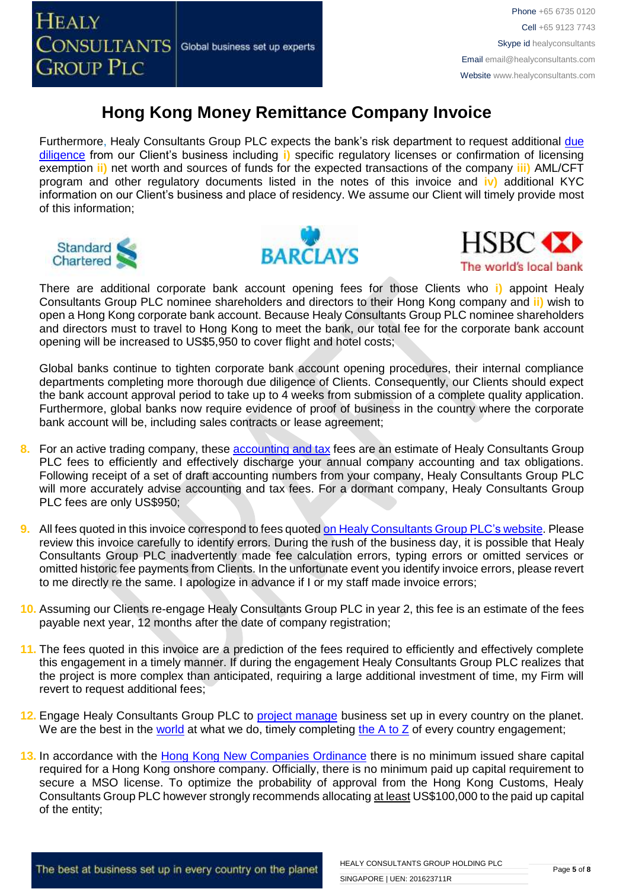Furthermore, Healy Consultants Group PLC expects the bank's risk department to request additional [due](http://www.healyconsultants.com/due-diligence/)  [diligence](http://www.healyconsultants.com/due-diligence/) from our Client's business including **i)** specific regulatory licenses or confirmation of licensing exemption **ii)** net worth and sources of funds for the expected transactions of the company **iii)** AML/CFT program and other regulatory documents listed in the notes of this invoice and **iv)** additional KYC information on our Client's business and place of residency. We assume our Client will timely provide most of this information;







The world's local bank

There are additional corporate bank account opening fees for those Clients who **i)** appoint Healy Consultants Group PLC nominee shareholders and directors to their Hong Kong company and **ii)** wish to open a Hong Kong corporate bank account. Because Healy Consultants Group PLC nominee shareholders and directors must to travel to Hong Kong to meet the bank, our total fee for the corporate bank account opening will be increased to US\$5,950 to cover flight and hotel costs;

Global banks continue to tighten corporate bank account opening procedures, their internal compliance departments completing more thorough due diligence of Clients. Consequently, our Clients should expect the bank account approval period to take up to 4 weeks from submission of a complete quality application. Furthermore, global banks now require evidence of proof of business in the country where the corporate bank account will be, including sales contracts or lease agreement;

- **8.** For an active trading company, these [accounting](http://www.healyconsultants.com/hong-kong-company-registration/accounting-legal/) and tax fees are an estimate of Healy Consultants Group PLC fees to efficiently and effectively discharge your annual company accounting and tax obligations. Following receipt of a set of draft accounting numbers from your company, Healy Consultants Group PLC will more accurately advise accounting and tax fees. For a dormant company, Healy Consultants Group PLC fees are only US\$950;
- **9.** All fees quoted in this invoice correspond to fees quoted [on Healy Consultants Group PLC's website.](http://www.healyconsultants.com/company-registration-fees/) Please review this invoice carefully to identify errors. During the rush of the business day, it is possible that Healy Consultants Group PLC inadvertently made fee calculation errors, typing errors or omitted services or omitted historic fee payments from Clients. In the unfortunate event you identify invoice errors, please revert to me directly re the same. I apologize in advance if I or my staff made invoice errors;
- **10.** Assuming our Clients re-engage Healy Consultants Group PLC in year 2, this fee is an estimate of the fees payable next year, 12 months after the date of company registration;
- **11.** The fees quoted in this invoice are a prediction of the fees required to efficiently and effectively complete this engagement in a timely manner. If during the engagement Healy Consultants Group PLC realizes that the project is more complex than anticipated, requiring a large additional investment of time, my Firm will revert to request additional fees;
- **12.** Engage Healy Consultants Group PLC to [project manage](http://www.healyconsultants.com/project-manage-engagements/) business set up in every country on the planet. We are the best in the [world](http://www.healyconsultants.com/best-in-the-world/) at what we do, timely completing [the A to Z](http://www.healyconsultants.com/a-to-z-of-business-set-up/) of every country engagement;
- **13.** In accordance with the [Hong Kong New Companies Ordinance](http://www.cr.gov.hk/en/companies_ordinance/docs/NewCO_C622_HL_FullVersion-e.pdf) there is no minimum issued share capital required for a Hong Kong onshore company. Officially, there is no minimum paid up capital requirement to secure a MSO license. To optimize the probability of approval from the Hong Kong Customs, Healy Consultants Group PLC however strongly recommends allocating at least US\$100,000 to the paid up capital of the entity;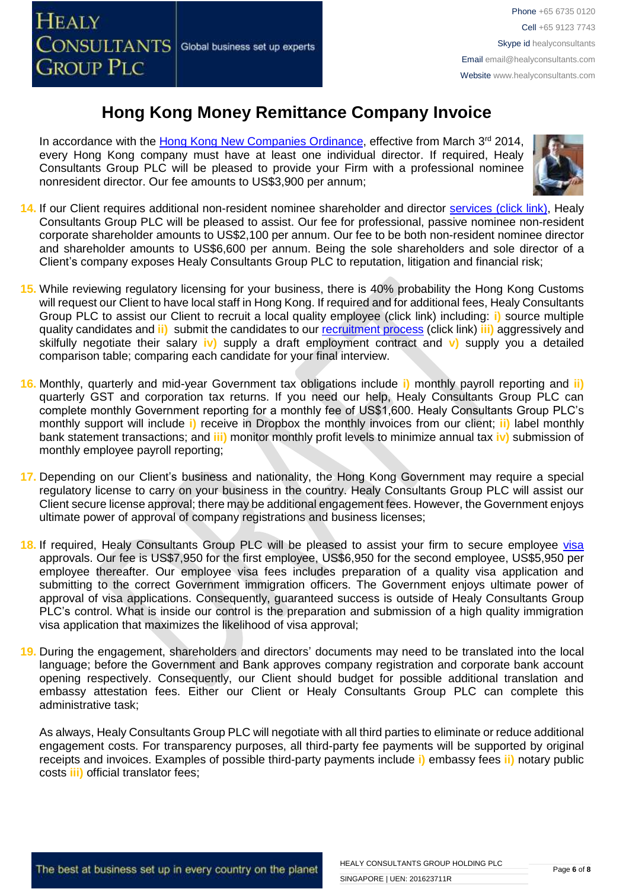In accordance with the [Hong Kong New Companies Ordinance,](http://www.cr.gov.hk/en/companies_ordinance/docs/NewCO_C622_HL_FullVersion-e.pdf) effective from March 3<sup>rd</sup> 2014, every Hong Kong company must have at least one individual director. If required, Healy Consultants Group PLC will be pleased to provide your Firm with a professional nominee nonresident director. Our fee amounts to US\$3,900 per annum;



- **14.** If our Client requires additional non-resident nominee shareholder and director services [\(click link\),](http://www.healyconsultants.com/corporate-outsourcing-services/nominee-shareholders-directors/) Healy Consultants Group PLC will be pleased to assist. Our fee for professional, passive nominee non-resident corporate shareholder amounts to US\$2,100 per annum. Our fee to be both non-resident nominee director and shareholder amounts to US\$6,600 per annum. Being the sole shareholders and sole director of a Client's company exposes Healy Consultants Group PLC to reputation, litigation and financial risk;
- **15.** While reviewing regulatory licensing for your business, there is 40% probability the Hong Kong Customs will request our Client to have local staff in Hong Kong. If required and for additional fees, Healy Consultants Group PLC to assist our Client to recruit a local quality employee (click link) including: **i)** source multiple quality candidates and **ii)** submit the candidates to our [recruitment process](https://www.healyconsultants.com/corporate-advisory-services/staff-recruitment/) (click link) **iii)** aggressively and skilfully negotiate their salary **iv)** supply a draft employment contract and **v)** supply you a detailed comparison table; comparing each candidate for your final interview.
- **16.** Monthly, quarterly and mid-year Government tax obligations include **i)** monthly payroll reporting and **ii)** quarterly GST and corporation tax returns. If you need our help, Healy Consultants Group PLC can complete monthly Government reporting for a monthly fee of US\$1,600. Healy Consultants Group PLC's monthly support will include **i)** receive in Dropbox the monthly invoices from our client; **ii)** label monthly bank statement transactions; and **iii)** monitor monthly profit levels to minimize annual tax **iv)** submission of monthly employee payroll reporting;
- **17.** Depending on our Client's business and nationality, the Hong Kong Government may require a special regulatory license to carry on your business in the country. Healy Consultants Group PLC will assist our Client secure license approval; there may be additional engagement fees. However, the Government enjoys ultimate power of approval of company registrations and business licenses;
- **18.** If required, Healy Consultants Group PLC will be pleased to assist your firm to secure employee [visa](http://www.healyconsultants.com/hong-kong-company-registration/formation-support-services/) approvals. Our fee is US\$7,950 for the first employee, US\$6,950 for the second employee, US\$5,950 per employee thereafter. Our employee visa fees includes preparation of a quality visa application and submitting to the correct Government immigration officers. The Government enjoys ultimate power of approval of visa applications. Consequently, guaranteed success is outside of Healy Consultants Group PLC's control. What is inside our control is the preparation and submission of a high quality immigration visa application that maximizes the likelihood of visa approval;
- **19.** During the engagement, shareholders and directors' documents may need to be translated into the local language; before the Government and Bank approves company registration and corporate bank account opening respectively. Consequently, our Client should budget for possible additional translation and embassy attestation fees. Either our Client or Healy Consultants Group PLC can complete this administrative task;

As always, Healy Consultants Group PLC will negotiate with all third parties to eliminate or reduce additional engagement costs. For transparency purposes, all third-party fee payments will be supported by original receipts and invoices. Examples of possible third-party payments include **i)** embassy fees **ii)** notary public costs **iii)** official translator fees;

The best at business set up in every country on the planet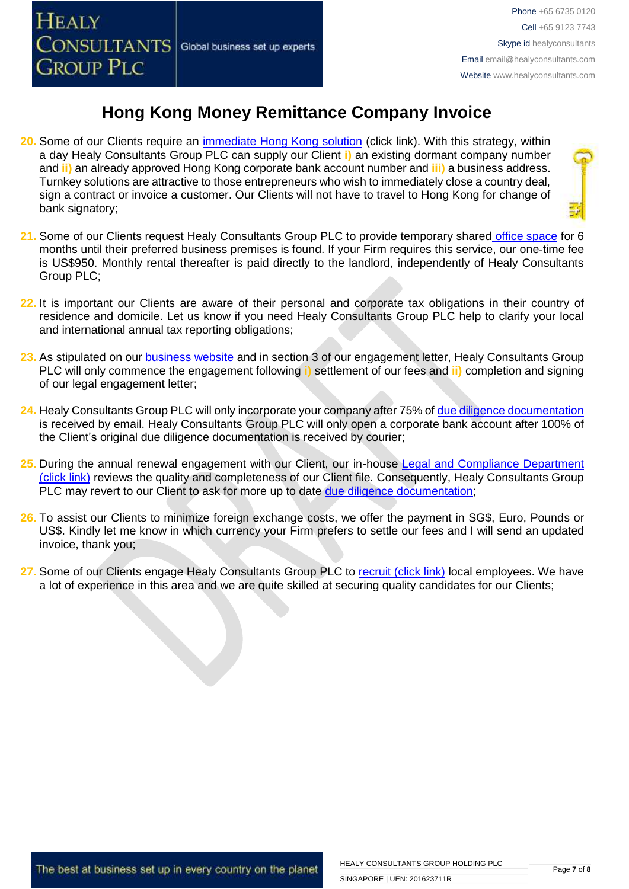

- **20.** Some of our Clients require an [immediate Hong Kong solution](http://www.healyconsultants.com/hong-kong-company-registration/turnkey-solutions/) (click link). With this strategy, within a day Healy Consultants Group PLC can supply our Client **i)** an existing dormant company number and **ii)** an already approved Hong Kong corporate bank account number and **iii)** a business address. Turnkey solutions are attractive to those entrepreneurs who wish to immediately close a country deal, sign a contract or invoice a customer. Our Clients will not have to travel to Hong Kong for change of bank signatory;
- **21.** Some of our Clients request Healy Consultants Group PLC to provide temporary shared [office space](http://www.healyconsultants.com/virtual-office/) for 6 months until their preferred business premises is found. If your Firm requires this service, our one-time fee is US\$950. Monthly rental thereafter is paid directly to the landlord, independently of Healy Consultants Group PLC;
- **22.** It is important our Clients are aware of their personal and corporate tax obligations in their country of residence and domicile. Let us know if you need Healy Consultants Group PLC help to clarify your local and international annual tax reporting obligations;
- 23. As stipulated on our **business website** and in section 3 of our engagement letter, Healy Consultants Group PLC will only commence the engagement following **i)** settlement of our fees and **ii)** completion and signing of our legal engagement letter;
- **24.** Healy Consultants Group PLC will only incorporate your company after 75% of [due diligence documentation](http://www.healyconsultants.com/due-diligence/) is received by email. Healy Consultants Group PLC will only open a corporate bank account after 100% of the Client's original due diligence documentation is received by courier;
- 25. During the annual renewal engagement with our Client, our in-house Legal and Compliance Department [\(click link\)](http://www.healyconsultants.com/about-us/key-personnel/cai-xin-profile/) reviews the quality and completeness of our Client file. Consequently, Healy Consultants Group PLC may revert to our Client to ask for more up to date [due diligence documentation;](http://www.healyconsultants.com/due-diligence/)
- **26.** To assist our Clients to minimize foreign exchange costs, we offer the payment in SG\$, Euro, Pounds or US\$. Kindly let me know in which currency your Firm prefers to settle our fees and I will send an updated invoice, thank you;
- 27. Some of our Clients engage Healy Consultants Group PLC to [recruit \(click link\)](http://www.healyconsultants.com/corporate-outsourcing-services/how-we-help-our-clients-recruit-quality-employees/) local employees. We have a lot of experience in this area and we are quite skilled at securing quality candidates for our Clients;

The best at business set up in every country on the planet